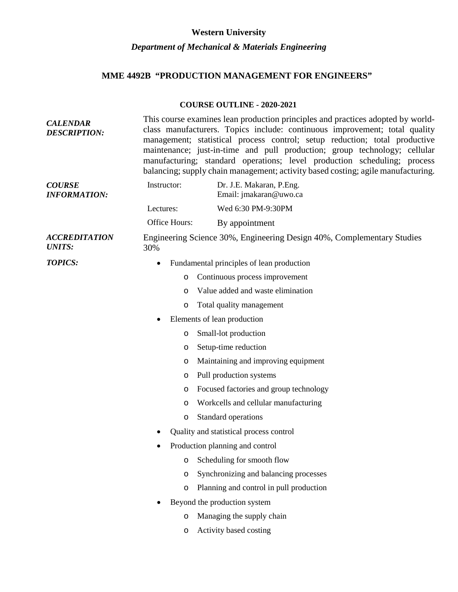## **Western University** *Department of Mechanical & Materials Engineering*

## **MME 4492B "PRODUCTION MANAGEMENT FOR ENGINEERS"**

## **COURSE OUTLINE - 2020-2021**

| <b>CALENDAR</b><br><b>DESCRIPTION:</b> | This course examines lean production principles and practices adopted by world-<br>class manufacturers. Topics include: continuous improvement; total quality<br>management; statistical process control; setup reduction; total productive<br>maintenance; just-in-time and pull production; group technology; cellular<br>manufacturing; standard operations; level production scheduling; process<br>balancing; supply chain management; activity based costing; agile manufacturing. |  |  |
|----------------------------------------|------------------------------------------------------------------------------------------------------------------------------------------------------------------------------------------------------------------------------------------------------------------------------------------------------------------------------------------------------------------------------------------------------------------------------------------------------------------------------------------|--|--|
| <b>COURSE</b><br><b>INFORMATION:</b>   | Dr. J.E. Makaran, P.Eng.<br>Instructor:<br>Email: jmakaran@uwo.ca                                                                                                                                                                                                                                                                                                                                                                                                                        |  |  |
|                                        | Wed 6:30 PM-9:30PM<br>Lectures:                                                                                                                                                                                                                                                                                                                                                                                                                                                          |  |  |
|                                        | Office Hours:<br>By appointment                                                                                                                                                                                                                                                                                                                                                                                                                                                          |  |  |
| <b>ACCREDITATION</b><br><b>UNITS:</b>  | Engineering Science 30%, Engineering Design 40%, Complementary Studies<br>30%                                                                                                                                                                                                                                                                                                                                                                                                            |  |  |
| <b>TOPICS:</b>                         | Fundamental principles of lean production<br>$\bullet$                                                                                                                                                                                                                                                                                                                                                                                                                                   |  |  |
|                                        | Continuous process improvement<br>$\circ$                                                                                                                                                                                                                                                                                                                                                                                                                                                |  |  |
|                                        | Value added and waste elimination<br>$\circ$                                                                                                                                                                                                                                                                                                                                                                                                                                             |  |  |
|                                        | Total quality management<br>O                                                                                                                                                                                                                                                                                                                                                                                                                                                            |  |  |
|                                        | Elements of lean production<br>٠                                                                                                                                                                                                                                                                                                                                                                                                                                                         |  |  |
|                                        | Small-lot production<br>$\circ$                                                                                                                                                                                                                                                                                                                                                                                                                                                          |  |  |
|                                        | Setup-time reduction<br>O                                                                                                                                                                                                                                                                                                                                                                                                                                                                |  |  |
|                                        | Maintaining and improving equipment<br>O                                                                                                                                                                                                                                                                                                                                                                                                                                                 |  |  |
|                                        | Pull production systems<br>O                                                                                                                                                                                                                                                                                                                                                                                                                                                             |  |  |
|                                        | Focused factories and group technology<br>O                                                                                                                                                                                                                                                                                                                                                                                                                                              |  |  |
|                                        | Workcells and cellular manufacturing<br>O                                                                                                                                                                                                                                                                                                                                                                                                                                                |  |  |
|                                        | Standard operations<br>$\circ$                                                                                                                                                                                                                                                                                                                                                                                                                                                           |  |  |
|                                        | Quality and statistical process control                                                                                                                                                                                                                                                                                                                                                                                                                                                  |  |  |
|                                        | Production planning and control                                                                                                                                                                                                                                                                                                                                                                                                                                                          |  |  |
|                                        | Scheduling for smooth flow<br>$\circ$                                                                                                                                                                                                                                                                                                                                                                                                                                                    |  |  |
|                                        | Synchronizing and balancing processes<br>O                                                                                                                                                                                                                                                                                                                                                                                                                                               |  |  |
|                                        | Planning and control in pull production<br>$\circ$                                                                                                                                                                                                                                                                                                                                                                                                                                       |  |  |
|                                        | Beyond the production system                                                                                                                                                                                                                                                                                                                                                                                                                                                             |  |  |
|                                        | Managing the supply chain<br>$\circ$                                                                                                                                                                                                                                                                                                                                                                                                                                                     |  |  |
|                                        | Activity based costing<br>$\circ$                                                                                                                                                                                                                                                                                                                                                                                                                                                        |  |  |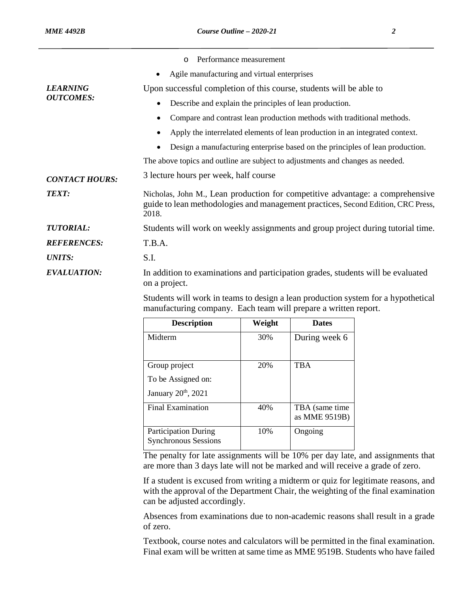|                                                              | Performance measurement<br>$\circ$                                                                                                                                         |  |  |  |
|--------------------------------------------------------------|----------------------------------------------------------------------------------------------------------------------------------------------------------------------------|--|--|--|
|                                                              | Agile manufacturing and virtual enterprises<br>$\bullet$                                                                                                                   |  |  |  |
| <b>LEARNING</b><br><b>OUTCOMES:</b><br><b>CONTACT HOURS:</b> | Upon successful completion of this course, students will be able to                                                                                                        |  |  |  |
|                                                              | Describe and explain the principles of lean production.                                                                                                                    |  |  |  |
|                                                              | Compare and contrast lean production methods with traditional methods.<br>$\bullet$                                                                                        |  |  |  |
|                                                              | Apply the interrelated elements of lean production in an integrated context.                                                                                               |  |  |  |
|                                                              | Design a manufacturing enterprise based on the principles of lean production.                                                                                              |  |  |  |
|                                                              | The above topics and outline are subject to adjustments and changes as needed.                                                                                             |  |  |  |
|                                                              | 3 lecture hours per week, half course                                                                                                                                      |  |  |  |
| <b>TEXT:</b>                                                 | Nicholas, John M., Lean production for competitive advantage: a comprehensive<br>guide to lean methodologies and management practices, Second Edition, CRC Press,<br>2018. |  |  |  |
| <b>TUTORIAL:</b>                                             | Students will work on weekly assignments and group project during tutorial time.                                                                                           |  |  |  |
| <b>REFERENCES:</b>                                           | T.B.A.                                                                                                                                                                     |  |  |  |
| <b>UNITS:</b>                                                | S.I.                                                                                                                                                                       |  |  |  |
| <b>EVALUATION:</b>                                           | In addition to examinations and participation grades, students will be evaluated<br>on a project.                                                                          |  |  |  |
|                                                              | Students will work in teams to design a lean production system for a hypothetical                                                                                          |  |  |  |

Students will work in teams to design a lean production system for a hypothetical manufacturing company. Each team will prepare a written report.

| <b>Description</b>                                         | Weight | <b>Dates</b>                     |
|------------------------------------------------------------|--------|----------------------------------|
| Midterm                                                    | 30%    | During week 6                    |
| Group project                                              | 20%    | <b>TBA</b>                       |
| To be Assigned on:                                         |        |                                  |
| January 20th, 2021                                         |        |                                  |
| <b>Final Examination</b>                                   | 40%    | TBA (same time)<br>as MME 9519B) |
| <b>Participation During</b><br><b>Synchronous Sessions</b> | 10%    | Ongoing                          |

The penalty for late assignments will be 10% per day late, and assignments that are more than 3 days late will not be marked and will receive a grade of zero.

If a student is excused from writing a midterm or quiz for legitimate reasons, and with the approval of the Department Chair, the weighting of the final examination can be adjusted accordingly.

Absences from examinations due to non-academic reasons shall result in a grade of zero.

Textbook, course notes and calculators will be permitted in the final examination. Final exam will be written at same time as MME 9519B. Students who have failed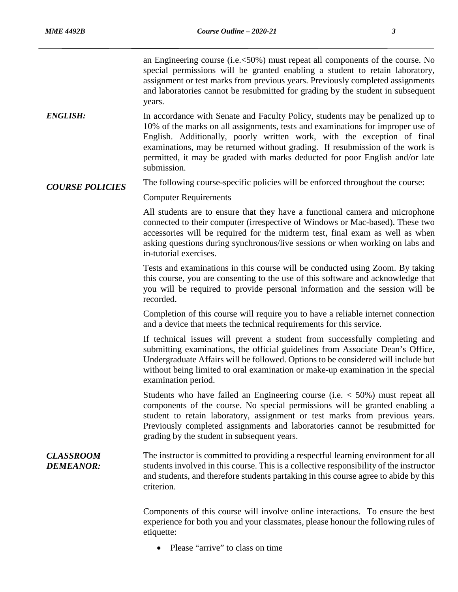an Engineering course (i.e.<50%) must repeat all components of the course. No special permissions will be granted enabling a student to retain laboratory, assignment or test marks from previous years. Previously completed assignments and laboratories cannot be resubmitted for grading by the student in subsequent years.

*ENGLISH:* In accordance with Senate and Faculty Policy, students may be penalized up to 10% of the marks on all assignments, tests and examinations for improper use of English. Additionally, poorly written work, with the exception of final examinations, may be returned without grading. If resubmission of the work is permitted, it may be graded with marks deducted for poor English and/or late submission.

*COURSE POLICIES* The following course-specific policies will be enforced throughout the course:

Computer Requirements

All students are to ensure that they have a functional camera and microphone connected to their computer (irrespective of Windows or Mac-based). These two accessories will be required for the midterm test, final exam as well as when asking questions during synchronous/live sessions or when working on labs and in-tutorial exercises.

Tests and examinations in this course will be conducted using Zoom. By taking this course, you are consenting to the use of this software and acknowledge that you will be required to provide personal information and the session will be recorded.

Completion of this course will require you to have a reliable internet connection and a device that meets the technical requirements for this service.

If technical issues will prevent a student from successfully completing and submitting examinations, the official guidelines from Associate Dean's Office, Undergraduate Affairs will be followed. Options to be considered will include but without being limited to oral examination or make-up examination in the special examination period.

Students who have failed an Engineering course (i.e. < 50%) must repeat all components of the course. No special permissions will be granted enabling a student to retain laboratory, assignment or test marks from previous years. Previously completed assignments and laboratories cannot be resubmitted for grading by the student in subsequent years.

*CLASSROOM DEMEANOR:* The instructor is committed to providing a respectful learning environment for all students involved in this course. This is a collective responsibility of the instructor and students, and therefore students partaking in this course agree to abide by this criterion.

> Components of this course will involve online interactions. To ensure the best experience for both you and your classmates, please honour the following rules of etiquette:

• Please "arrive" to class on time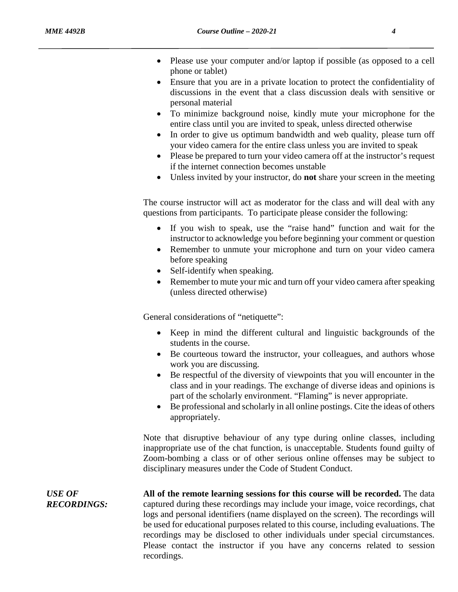- 
- Please use your computer and/or laptop if possible (as opposed to a cell phone or tablet)
- Ensure that you are in a private location to protect the confidentiality of discussions in the event that a class discussion deals with sensitive or personal material
- To minimize background noise, kindly mute your microphone for the entire class until you are invited to speak, unless directed otherwise
- In order to give us optimum bandwidth and web quality, please turn off your video camera for the entire class unless you are invited to speak
- Please be prepared to turn your video camera off at the instructor's request if the internet connection becomes unstable
- Unless invited by your instructor, do **not** share your screen in the meeting

The course instructor will act as moderator for the class and will deal with any questions from participants. To participate please consider the following:

- If you wish to speak, use the "raise hand" function and wait for the instructor to acknowledge you before beginning your comment or question
- Remember to unmute your microphone and turn on your video camera before speaking
- Self-identify when speaking.
- Remember to mute your mic and turn off your video camera after speaking (unless directed otherwise)

General considerations of "netiquette":

- Keep in mind the different cultural and linguistic backgrounds of the students in the course.
- Be courteous toward the instructor, your colleagues, and authors whose work you are discussing.
- Be respectful of the diversity of viewpoints that you will encounter in the class and in your readings. The exchange of diverse ideas and opinions is part of the scholarly environment. "Flaming" is never appropriate.
- Be professional and scholarly in all online postings. Cite the ideas of others appropriately.

Note that disruptive behaviour of any type during online classes, including inappropriate use of the chat function, is unacceptable. Students found guilty of Zoom-bombing a class or of other serious online offenses may be subject to disciplinary measures under the Code of Student Conduct.

*USE OF RECORDINGS:* **All of the remote learning sessions for this course will be recorded.** The data captured during these recordings may include your image, voice recordings, chat logs and personal identifiers (name displayed on the screen). The recordings will be used for educational purposes related to this course, including evaluations. The recordings may be disclosed to other individuals under special circumstances. Please contact the instructor if you have any concerns related to session recordings.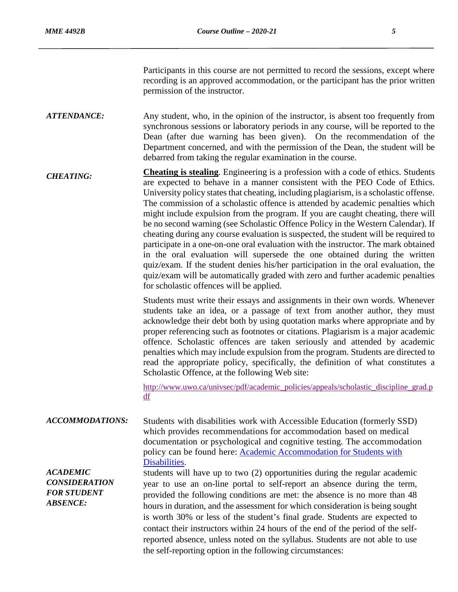Participants in this course are not permitted to record the sessions, except where recording is an approved accommodation, or the participant has the prior written permission of the instructor.

*ATTENDANCE:* Any student, who, in the opinion of the instructor, is absent too frequently from synchronous sessions or laboratory periods in any course, will be reported to the Dean (after due warning has been given). On the recommendation of the Department concerned, and with the permission of the Dean, the student will be debarred from taking the regular examination in the course.

*CHEATING:* **Cheating is stealing**. Engineering is a profession with a code of ethics. Students are expected to behave in a manner consistent with the PEO Code of Ethics. University policy states that cheating, including plagiarism, is a scholastic offense. The commission of a scholastic offence is attended by academic penalties which might include expulsion from the program. If you are caught cheating, there will be no second warning (see Scholastic Offence Policy in the Western Calendar). If cheating during any course evaluation is suspected, the student will be required to participate in a one-on-one oral evaluation with the instructor. The mark obtained in the oral evaluation will supersede the one obtained during the written quiz/exam. If the student denies his/her participation in the oral evaluation, the quiz/exam will be automatically graded with zero and further academic penalties for scholastic offences will be applied.

> Students must write their essays and assignments in their own words. Whenever students take an idea, or a passage of text from another author, they must acknowledge their debt both by using quotation marks where appropriate and by proper referencing such as footnotes or citations. Plagiarism is a major academic offence. Scholastic offences are taken seriously and attended by academic penalties which may include expulsion from the program. Students are directed to read the appropriate policy, specifically, the definition of what constitutes a Scholastic Offence, at the following Web site:

> http://www.uwo.ca/univsec/pdf/academic\_policies/appeals/scholastic\_discipline\_grad.p df

*ACCOMMODATIONS:* Students with disabilities work with Accessible Education (formerly SSD) which provides recommendations for accommodation based on medical documentation or psychological and cognitive testing. The accommodation policy can be found here: **Academic Accommodation for Students with** [Disabilities.](https://www.uwo.ca/univsec/pdf/academic_policies/appeals/Academic%20Accommodation_disabilities.pdf)

*ACADEMIC CONSIDERATION FOR STUDENT ABSENCE:*

Students will have up to two (2) opportunities during the regular academic year to use an on-line portal to self-report an absence during the term, provided the following conditions are met: the absence is no more than 48 hours in duration, and the assessment for which consideration is being sought is worth 30% or less of the student's final grade. Students are expected to contact their instructors within 24 hours of the end of the period of the selfreported absence, unless noted on the syllabus. Students are not able to use the self-reporting option in the following circumstances: